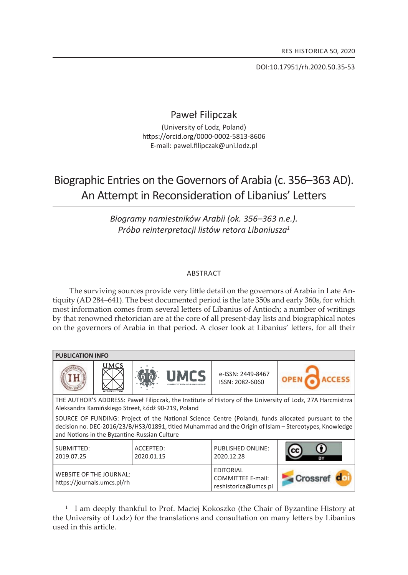Doi:10.17951/rh.2020.50.35-53

# Paweł Filipczak

(University of lodz, poland) https://orcid.org/0000-0002-5813-8606 E-mail: pawel.filipczak@uni.lodz.pl

# Biographic Entries on the Governors of Arabia (c. 356–363 AD). An Attempt in Reconsideration of Libanius' Letters

*Biogramy namiestników Arabii (ok. 356–363 n.e.). Próba reinterpretacji listów retora Libaniusza<sup>1</sup>*

### **ABSTRACT**

The surviving sources provide very little detail on the governors of Arabia in Late Antiquity (AD 284–641). The best documented period is the late 350s and early 360s, for which most information comes from several letters of libanius of antioch; a number of writings by that renowned rhetorician are at the core of all present-day lists and biographical notes on the governors of arabia in that period. a closer look at libanius' letters, for all their

| <b>PUBLICATION INFO</b>                                                                                                                                                                                                                                       |             |                         |                                                                      |               |
|---------------------------------------------------------------------------------------------------------------------------------------------------------------------------------------------------------------------------------------------------------------|-------------|-------------------------|----------------------------------------------------------------------|---------------|
|                                                                                                                                                                                                                                                               | <b>UMCS</b> | <b>UMCS</b>             | e-ISSN: 2449-8467<br>ISSN: 2082-6060                                 | <b>ACCESS</b> |
| THE AUTHOR'S ADDRESS: Paweł Filipczak, the Institute of History of the University of Lodz, 27A Harcmistrza<br>Aleksandra Kamińskiego Street, Łódź 90-219, Poland                                                                                              |             |                         |                                                                      |               |
| SOURCE OF FUNDING: Project of the National Science Centre (Poland), funds allocated pursuant to the<br>decision no. DEC-2016/23/B/HS3/01891, titled Muhammad and the Origin of Islam - Stereotypes, Knowledge<br>and Notions in the Byzantine-Russian Culture |             |                         |                                                                      |               |
| SUBMITTED:<br>2019.07.25                                                                                                                                                                                                                                      |             | ACCEPTED:<br>2020.01.15 | PUBLISHED ONLINE:<br>2020.12.28                                      |               |
| <b>WEBSITE OF THE JOURNAL:</b><br>https://journals.umcs.pl/rh                                                                                                                                                                                                 |             |                         | <b>EDITORIAL</b><br><b>COMMITTEE E-mail:</b><br>reshistorica@umcs.pl | Crossre       |

<sup>&</sup>lt;sup>1</sup> I am deeply thankful to Prof. Maciej Kokoszko (the Chair of Byzantine History at the University of lodz) for the translations and consultation on many letters by libanius used in this article.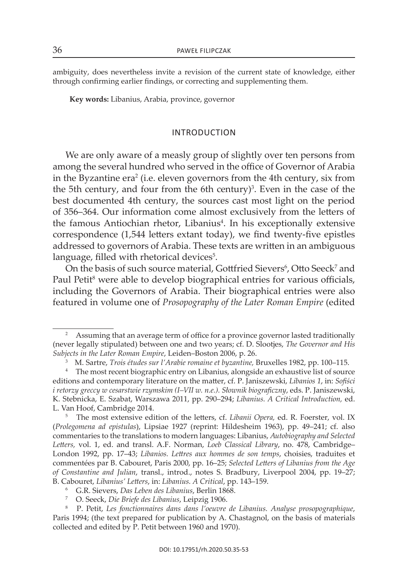ambiguity, does nevertheless invite a revision of the current state of knowledge, either through confirming earlier findings, or correcting and supplementing them.

Key words: Libanius, Arabia, province, governor

#### introDUction

We are only aware of a measly group of slightly over ten persons from among the several hundred who served in the office of Governor of Arabia in the Byzantine era2 (i.e. eleven governors from the 4th century, six from the 5th century, and four from the 6th century)<sup>3</sup>. Even in the case of the best documented 4th century, the sources cast most light on the period of 356–364. our information come almost exclusively from the letters of the famous Antiochian rhetor, Libanius<sup>4</sup>. In his exceptionally extensive correspondence (1,544 letters extant today), we find twenty-five epistles addressed to governors of Arabia. These texts are written in an ambiguous language, filled with rhetorical devices<sup>5</sup>.

On the basis of such source material, Gottfried Sievers<sup>6</sup>, Otto Seeck<sup>7</sup> and Paul Petit<sup>8</sup> were able to develop biographical entries for various officials, including the Governors of Arabia . Their biographical entries were also featured in volume one of *Prosopography of the Later Roman Empire* (edited

Assuming that an average term of office for a province governor lasted traditionally (never legally stipulated) between one and two years; cf. D. slootjes, *The Governor and His Subjects in the Later Roman Empire*, leiden–Boston 2006, p. 26.

<sup>&</sup>lt;sup>3</sup> M. Sartre, *Trois études sur l'Arabie romaine et byzantine*, Bruxelles 1982, pp. 100–115.

<sup>&</sup>lt;sup>4</sup> The most recent biographic entry on Libanius, alongside an exhaustive list of source editions and contemporary literature on the matter, cf. P. janiszewski, *Libanios 1*, in: *Sofiści i retorzy greccy w cesarstwie rzymskim (I–VII w. n.e.). Słownik biograficzny*, eds. P. janiszewski, k. stebnicka, e. szabat, warszawa 2011, pp. 290–294; *Libanius. A Critical Introduction,* ed . l. van Hoof, cambridge 2014.

<sup>&</sup>lt;sup>5</sup> The most extensive edition of the letters, cf. *Libanii Opera*, ed. R. Foerster, vol. IX (*Prolegomena ad epistulas*), lipsiae 1927 (reprint: Hildesheim 1963), pp. 49–241; cf. also commentaries to the translations to modern languages: libanius, *Autobiography and Selected*  Letters, vol. 1, ed. and transl. A.F. Norman, *Loeb Classical Library*, no. 478, Cambridge– london 1992, pp. 17–43; *Libanios. Lettres aux hommes de son temps*, choisies, traduites et commentées par B. cabouret, Paris 2000, pp. 16–25; *Selected Letters of Libanius from the Age of Constantine and Julian*, transl., introd., notes s. Bradbury, liverpool 2004, pp. 19–27; B. cabouret, *Libanius' Letters*, in: *Libanius. A Critical*, pp. 143–159.

<sup>6</sup>G.R. sievers, *Das Leben des Libanius*, Berlin 1868.

<sup>&</sup>lt;sup>7</sup> O. Seeck, *Die Briefe des Libanius*, Leipzig 1906.

<sup>8</sup> P. Petit, *Les fonctionnaires dans dans l'oeuvre de Libanius. Analyse prosopographique*, Paris 1994; (the text prepared for publication by A. Chastagnol, on the basis of materials collected and edited by P. Petit between 1960 and 1970).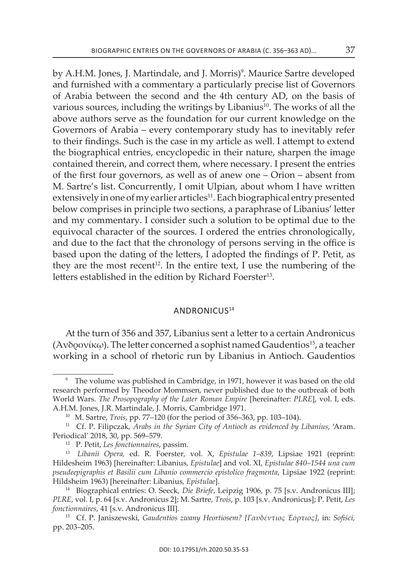by A.H.M. Jones, J. Martindale, and J. Morris)<sup>9</sup>. Maurice Sartre developed and furnished with a commentary a particularly precise list of Governors of arabia between the second and the 4th century aD, on the basis of various sources, including the writings by Libanius<sup>10</sup>. The works of all the above authors serve as the foundation for our current knowledge on the Governors of Arabia – every contemporary study has to inevitably refer to their findings. Such is the case in my article as well. I attempt to extend the biographical entries, encyclopedic in their nature, sharpen the image contained therein, and correct them, where necessary. I present the entries of the first four governors, as well as of anew one - Orion - absent from M. Sartre's list. Concurrently, I omit Ulpian, about whom I have written extensively in one of my earlier articles<sup>11</sup>. Each biographical entry presented below comprises in principle two sections, a paraphrase of libanius' letter and my commentary. I consider such a solution to be optimal due to the equivocal character of the sources. i ordered the entries chronologically, and due to the fact that the chronology of persons serving in the office is based upon the dating of the letters, i adopted the findings of P. Petit, as they are the most recent<sup>12</sup>. In the entire text, I use the numbering of the letters established in the edition by Richard Foerster<sup>13</sup>.

# ANDRONICUS<sup>14</sup>

At the turn of 356 and 357, Libanius sent a letter to a certain Andronicus (Ἀνδρονίκ $ω$ ). The letter concerned a sophist named Gaudentios<sup>15</sup>, a teacher working in a school of rhetoric run by libanius in Antioch . Gaudentios

<sup>&</sup>lt;sup>9</sup> The volume was published in Cambridge, in 1971, however it was based on the old research performed by theodor Mommsen, never published due to the outbreak of both World Wars . *The Prosopography of the Later Roman Empire* [hereinafter: *PLRE*], vol. i, eds. a.H.M. jones, j.R. Martindale, j. Morris, cambridge 1971.

<sup>10</sup> M. sartre, *Trois*, pp. 77–120 (for the period of 356–363, pp. 103–104).

<sup>&</sup>lt;sup>11</sup> Cf. P. Filipczak, *Arabs in the Syrian City of Antioch as evidenced by Libanius*, 'Aram. Periodical' 2018, 30, pp. 569–579.

<sup>12</sup>P. Petit, *Les fonctionnaires*, passim.

<sup>13</sup>*Libanii Opera,* ed. R. Foerster, vol. X, *Epistulae 1–839*, lipsiae 1921 (reprint: Hildesheim 1963) [hereinafter: libanius, *Epistulae*] and vol. Xi, *Epistulae 840–1544 una cum pseudeepigraphis et Basilii cum Libanio commercio epistolico fragmenta*, lipsiae 1922 (reprint: Hildsheim 1963) [hereinafter: libanius, *Epistulae*].

<sup>&</sup>lt;sup>14</sup> Biographical entries: O. Seeck, *Die Briefe*, Leipzig 1906, p. 75 [s.v. Andronicus III]; *PLRE*, vol. i, p. 64 [s.v. andronicus 2]; M. sartre, *Trois*, p. 103 [s.v. andronicus]; P. Petit, *Les fonctionnaires*, 41 [s.v. Andronicus III].

<sup>&</sup>lt;sup>15</sup> Cf. P. Janiszewski, *Gaudentios zwany Heortiosem? [Γαυδέντιος Έόρτιος]*, in: *Sofiści*, pp. 203-205.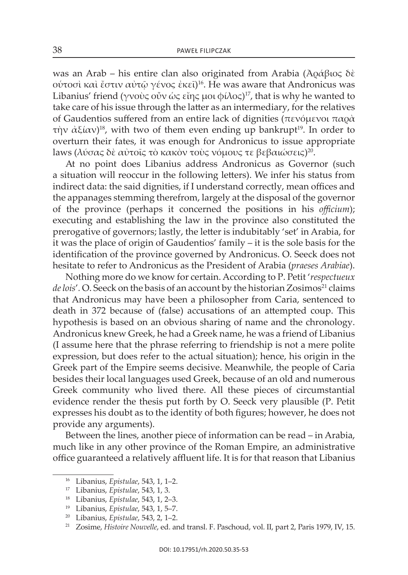was an Arab – his entire clan also originated from Arabia (Ἀράβιος δὲ οὑτοσὶ καὶ ἔστιν αὐτῷ γένος ἐκεῖ)16 . He was aware that Andronicus was Libanius' friend (γνοὺς οὖν ὡς εἴης μοι φίλος)<sup>17</sup>, that is why he wanted to take care of his issue through the latter as an intermediary, for the relatives of Gaudentios suffered from an entire lack of dignities (πενόμενοι παρὰ τὴν ἀξίαν)<sup>18</sup>, with two of them even ending up bankrupt<sup>19</sup>. In order to overturn their fates, it was enough for Andronicus to issue appropriate laws (λύσας δὲ αὐτοῖς τὸ κακὸν τοὺς νόμους τε βεβαιώσεις)<sup>20</sup>.

At no point does libanius address Andronicus as Governor (such a situation will reoccur in the following letters). we infer his status from indirect data: the said dignities, if I understand correctly, mean offices and the appanages stemming therefrom, largely at the disposal of the governor of the province (perhaps it concerned the positions in his *officium*); executing and establishing the law in the province also constituted the prerogative of governors; lastly, the letter is indubitably 'set' in Arabia, for it was the place of origin of Gaudentios' family – it is the sole basis for the identification of the province governed by Andronicus. O. Seeck does not hesitate to refer to Andronicus as the President of Arabia (*praeses Arabiae*) .

nothing more do we know for certain . According to P . Petit '*respectueux*  de lois'. O. Seeck on the basis of an account by the historian Zosimos<sup>21</sup> claims that Andronicus may have been a philosopher from Caria, sentenced to death in 372 because of (false) accusations of an attempted coup. This hypothesis is based on an obvious sharing of name and the chronology . Andronicus knew Greek, he had a Greek name, he was a friend of Libanius (i assume here that the phrase referring to friendship is not a mere polite expression, but does refer to the actual situation); hence, his origin in the Greek part of the Empire seems decisive. Meanwhile, the people of Caria besides their local languages used Greek, because of an old and numerous Greek community who lived there . All these pieces of circumstantial evidence render the thesis put forth by O. Seeck very plausible (P. Petit expresses his doubt as to the identity of both figures; however, he does not provide any arguments).

Between the lines, another piece of information can be read – in Arabia, much like in any other province of the Roman Empire, an administrative office guaranteed a relatively affluent life. It is for that reason that Libanius

<sup>&</sup>lt;sup>16</sup> Libanius, *Epistulae*, 543, 1, 1–2.

<sup>&</sup>lt;sup>17</sup> Libanius, *Epistulae*, 543, 1, 3.

<sup>18</sup> libanius, *Epistulae*, 543, 1, 2–3.

<sup>19</sup>libanius, *Epistulae*, 543, 1, 5–7.

<sup>20</sup>libanius, *Epistulae*, 543, 2, 1–2.

<sup>&</sup>lt;sup>21</sup> Zosime, *Histoire Nouvelle*, ed. and transl. F. Paschoud, vol. II, part 2, Paris 1979, IV, 15.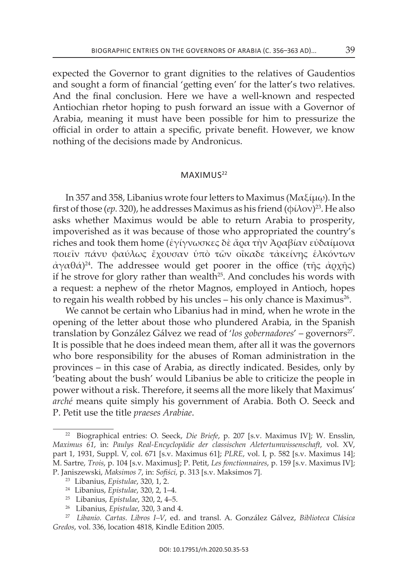expected the Governor to grant dignities to the relatives of Gaudentios and sought a form of financial 'getting even' for the latter's two relatives. And the final conclusion. Here we have a well-known and respected Antiochian rhetor hoping to push forward an issue with a Governor of arabia, meaning it must have been possible for him to pressurize the official in order to attain a specific, private benefit. However, we know nothing of the decisions made by Andronicus.

# MAXIMUS<sup>22</sup>

in 357 and 358, libanius wrote four letters to Maximus (Μαξίμῳ). in the first of those (*ep*. 320), he addresses Maximus as his friend (φίλον)<sup>23</sup>. He also asks whether Maximus would be able to return arabia to prosperity, impoverished as it was because of those who appropriated the country's riches and took them home (ἐγίγνωσκες δὲ ἄρα τὴν Ἀραβίαν εὐδαίμονα ποιεῖν πάνυ φαύλως ἔχουσαν ὑπὸ τῶν οἴκαδε τἀκείνης ἑλκόντων  $\dot{\alpha}$ γαθά)<sup>24</sup>. The addressee would get poorer in the office (τῆς ἀρχῆς) if he strove for glory rather than wealth $25$ . And concludes his words with a request: a nephew of the rhetor Magnos, employed in Antioch, hopes to regain his wealth robbed by his uncles  $-$  his only chance is Maximus<sup>26</sup>.

We cannot be certain who Libanius had in mind, when he wrote in the opening of the letter about those who plundered Arabia, in the Spanish translation by González Gálvez we read of 'los gobernadores' – governors<sup>27</sup>. It is possible that he does indeed mean them, after all it was the governors who bore responsibility for the abuses of Roman administration in the provinces – in this case of Arabia, as directly indicated. Besides, only by 'beating about the bush' would libanius be able to criticize the people in power without a risk. Therefore, it seems all the more likely that Maximus' *arché* means quite simply his government of Arabia. Both O. Seeck and P. Petit use the title *praeses Arabiae*.

<sup>&</sup>lt;sup>22</sup> Biographical entries: O. Seeck, *Die Briefe*, p. 207 [s.v. Maximus IV]; W. Ensslin, *Maximus 61*, in: *Paulys Real-Encyclopädie der classischen Aletertumwissenschaft*, vol. Xv, part 1, 1931, suppl. v, col. 671 [s.v. Maximus 61]; *PLRE*, vol. i, p. 582 [s.v. Maximus 14]; M. sartre, *Trois*, p. 104 [s.v. Maximus]; P. Petit, *Les fonctionnaires*, p. 159 [s.v. Maximus iv]; P. janiszewski, *Maksimos 7*, in: *Sofiści,* p. 313 [s.v. Maksimos 7].

<sup>23</sup> libanius, *Epistulae*, 320, 1, 2.

<sup>24</sup> libanius, *Epistulae*, 320, 2, 1–4.

<sup>&</sup>lt;sup>25</sup> Libanius, *Epistulae*, 320, 2, 4–5.

<sup>&</sup>lt;sup>26</sup> Libanius, *Epistulae*, 320, 3 and 4.

<sup>27</sup>*Libanio. Cartas. Libros I–V*, ed. and transl. a. González Gálvez, *Biblioteca Clásica*  Gredos, vol. 336, location 4818, Kindle Edition 2005.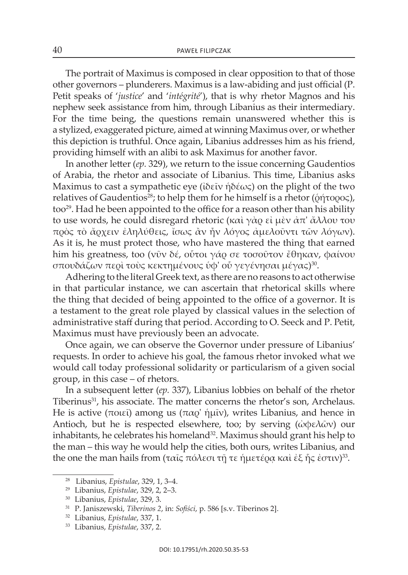The portrait of Maximus is composed in clear opposition to that of those other governors – plunderers. Maximus is a law-abiding and just official (P. Petit speaks of '*justice*' and '*intégrité*'), that is why rhetor Magnos and his nephew seek assistance from him, through libanius as their intermediary. For the time being, the questions remain unanswered whether this is a stylized, exaggerated picture, aimed at winning Maximus over, or whether this depiction is truthful. Once again, Libanius addresses him as his friend, providing himself with an alibi to ask Maximus for another favor .

in another letter (*ep.* 329), we return to the issue concerning Gaudentios of arabia, the rhetor and associate of libanius. this time, libanius asks Maximus to cast a sympathetic eye ( $\delta \tilde{\epsilon}$  iv ή $\delta \tilde{\epsilon} \omega$ ς) on the plight of the two relatives of Gaudentios<sup>28</sup>; to help them for he himself is a rhetor ( $ρ$ ήτορος), too<sup>29</sup>. Had he been appointed to the office for a reason other than his ability to use words, he could disregard rhetoric (καὶ γὰρ εἰ μὲν ἀπ' ἄλλου του πρὸς τὸ ἄρχειν ἐληλύθεις, ἴσως ἂν ἦν λόγος ἀμελοῦντι τῶν λόγων). As it is, he must protect those, who have mastered the thing that earned him his greatness, too (νῦν δέ, οὗτοι γάρ σε τοσοῦτον ἔθηκαν, φαίνου σπουδάζων περὶ τοὺς κεκτημένους ὑφ' οὗ γεγένησαι μέγας)30 .

adhering to the literal Greek text, as there are no reasons to act otherwise in that particular instance, we can ascertain that rhetorical skills where the thing that decided of being appointed to the office of a governor. it is a testament to the great role played by classical values in the selection of administrative staff during that period. According to O. Seeck and P. Petit, Maximus must have previously been an advocate.

Once again, we can observe the Governor under pressure of Libanius' requests. in order to achieve his goal, the famous rhetor invoked what we would call today professional solidarity or particularism of a given social group, in this case – of rhetors.

in a subsequent letter (*ep.* 337), libanius lobbies on behalf of the rhetor Tiberinus<sup>31</sup>, his associate. The matter concerns the rhetor's son, Archelaus. He is active (ποιεῖ) among us (πα $ρ'$  ήμῖν), writes Libanius, and hence in Antioch, but he is respected elsewhere, too; by serving  $(\hat{\omega} \phi \epsilon \lambda \tilde{\omega} \nu)$  our inhabitants, he celebrates his homeland $32$ . Maximus should grant his help to the man – this way he would help the cities, both ours, writes libanius, and the one the man hails from (ταῖς πόλεσι τῆ τε ἡμετέρα καὶ ἐξ ἧς ἐστιν)<sup>33</sup>.

<sup>28</sup> libanius, *Epistulae*, 329, 1, 3–4.

<sup>&</sup>lt;sup>29</sup> Libanius, *Epistulae*, 329, 2, 2–3.

<sup>30</sup> libanius, *Epistulae*, 329, 3.

<sup>31</sup> P. janiszewski, *Tiberinos 2*, in: *Sofiści*, p. 586 [s.v. tiberinos 2].

<sup>32</sup> libanius, *Epistulae*, 337, 1.

<sup>33</sup> libanius, *Epistulae*, 337, 2.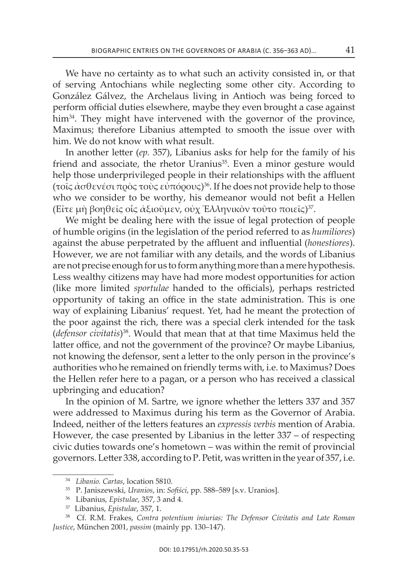we have no certainty as to what such an activity consisted in, or that of serving Antochians while neglecting some other city . According to González Gálvez, the Archelaus living in Antioch was being forced to perform official duties elsewhere, maybe they even brought a case against him<sup>34</sup>. They might have intervened with the governor of the province, Maximus; therefore libanius attempted to smooth the issue over with him. We do not know with what result.

in another letter (*ep.* 357), libanius asks for help for the family of his friend and associate, the rhetor Uranius<sup>35</sup>. Even a minor gesture would help those underprivileged people in their relationships with the affluent (τοις άσθενέσι πρὸς τοὺς εὐπόρους)<sup>36</sup>. If he does not provide help to those who we consider to be worthy, his demeanor would not befit a Hellen (Εἴτε μὴ βοηθεῖς οἷς ἀξιοῦμεν, οὐχ Ἑλληνικὸν τοῦτο ποιεῖς)37 .

We might be dealing here with the issue of legal protection of people of humble origins (in the legislation of the period referred to as *humiliores*) against the abuse perpetrated by the affluent and influential (*honestiores*) . However, we are not familiar with any details, and the words of libanius are not precise enough for us to form anything more than a mere hypothesis . less wealthy citizens may have had more modest opportunities for action (like more limited *sportulae* handed to the officials), perhaps restricted opportunity of taking an office in the state administration. This is one way of explaining Libanius' request. Yet, had he meant the protection of the poor against the rich, there was a special clerk intended for the task (*defensor civitatis*)<sup>38</sup> . Would that mean that at that time Maximus held the latter office, and not the government of the province? Or maybe Libanius, not knowing the defensor, sent a letter to the only person in the province's authorities who he remained on friendly terms with, i.e. to Maximus? Does the Hellen refer here to a pagan, or a person who has received a classical upbringing and education?

In the opinion of M. Sartre, we ignore whether the letters 337 and 357 were addressed to Maximus during his term as the Governor of Arabia . indeed, neither of the letters features an *expressis verbis* mention of Arabia . However, the case presented by libanius in the letter 337 – of respecting civic duties towards one's hometown – was within the remit of provincial governors. letter 338, according to P. Petit, was written in the year of 357, i.e.

<sup>34</sup>*Libanio. Cartas*, location 5810.

<sup>&</sup>lt;sup>35</sup> P. Janiszewski, *Uranios*, in: *Sofiści*, pp. 588–589 [s.v. Uranios].

<sup>&</sup>lt;sup>36</sup> Libanius, *Epistulae*, 357, 3 and 4.

<sup>37</sup> libanius, *Epistulae*, 357, 1.

<sup>38</sup> cf. R.M. Frakes, *Contra potentium iniurias: The Defensor Civitatis and Late Roman Justice*, München 2001, *passim* (mainly pp. 130-147).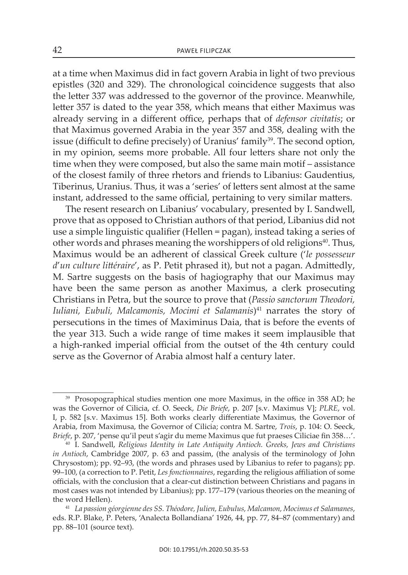at a time when Maximus did in fact govern Arabia in light of two previous epistles (320 and 329) . The chronological coincidence suggests that also the letter 337 was addressed to the governor of the province. Meanwhile, letter 357 is dated to the year 358, which means that either Maximus was already serving in a different office, perhaps that of *defensor civitatis*; or that Maximus governed Arabia in the year 357 and 358, dealing with the issue (difficult to define precisely) of Uranius' family<sup>39</sup>. The second option, in my opinion, seems more probable. all four letters share not only the time when they were composed, but also the same main motif – assistance of the closest family of three rhetors and friends to libanius: Gaudentius, Tiberinus, Uranius. Thus, it was a 'series' of letters sent almost at the same instant, addressed to the same official, pertaining to very similar matters.

The resent research on Libanius' vocabulary, presented by I. Sandwell, prove that as opposed to christian authors of that period, libanius did not use a simple linguistic qualifier (Hellen = pagan), instead taking a series of other words and phrases meaning the worshippers of old religions $40$ . Thus, Maximus would be an adherent of classical Greek culture ('*le possesseur d'un culture littéraire', as P. Petit phrased it), but not a pagan. Admittedly,* M. Sartre suggests on the basis of hagiography that our Maximus may have been the same person as another Maximus, a clerk prosecuting christians in Petra, but the source to prove that (*Passio sanctorum Theodori, Iuliani, Eubuli, Malcamonis, Mocimi et Salamanis*)<sup>41</sup> narrates the story of persecutions in the times of Maximinus Daia, that is before the events of the year 313 . Such a wide range of time makes it seem implausible that a high-ranked imperial official from the outset of the 4th century could serve as the Governor of Arabia almost half a century later.

<sup>&</sup>lt;sup>39</sup> Prosopographical studies mention one more Maximus, in the office in 358 AD; he was the Governor of Cilicia, cf. O. Seeck, *Die Briefe*, p. 207 [s.v. Maximus V]; *PLRE*, vol. i, p. 582 [s.v. Maximus 15]. Both works clearly differentiate Maximus, the Governor of arabia, from Maximusa, the Governor of cilicia; contra M. sartre, *Trois*, p. 104: o. seeck, *Briefe*, p. 207, 'pense qu'il peut s'agir du meme Maximus que fut praeses ciliciae fin 358…'.

<sup>40</sup> i. sandwell, *Religious Identity in Late Antiquity Antioch. Greeks, Jews and Christians in Antioch*, cambridge 2007, p. 63 and passim, (the analysis of the terminology of john chrysostom); pp. 92–93, (the words and phrases used by libanius to refer to pagans); pp. 99–100, (a correction to P. Petit, *Les fonctionnaires*, regarding the religious affiliation of some officials, with the conclusion that a clear-cut distinction between christians and pagans in most cases was not intended by libanius); pp . 177–179 (various theories on the meaning of the word Hellen).

<sup>41</sup> *La passion géorgienne des SS. Théodore, Julien, Eubulus, Malcamon, Mocimus et Salamanes*, eds. R.P. Blake, P. Peters, 'Analecta Bollandiana' 1926, 44, pp. 77, 84-87 (commentary) and pp. 88–101 (source text).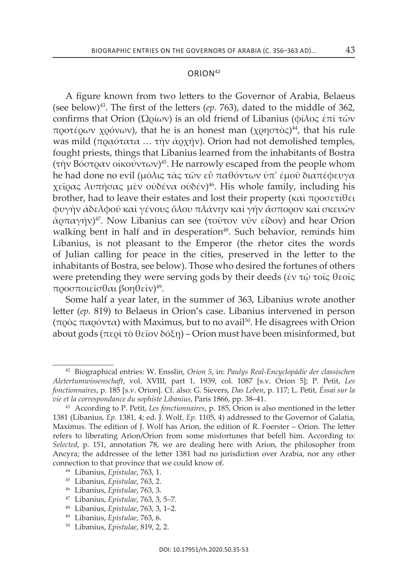## ORION<sup>42</sup>

A figure known from two letters to the Governor of Arabia, Belaeus (see below)43. the first of the letters (*ep.* 763), dated to the middle of 362, confirms that Orion ( $Ωρ(ων)$  is an old friend of Libanius (φίλος ἐπὶ τῶν προτέρων χρόνων), that he is an honest man (χρηστὸς)<sup>44</sup>, that his rule was mild (πραότατα ... τὴν ἀρχήν). Orion had not demolished temples, fought priests, things that libanius learned from the inhabitants of Bostra (τὴν Βόστραν οἰκούντων)<sup>45</sup>. He narrowly escaped from the people whom he had done no evil (μόλις τὰς τῶν εὖ παθόντων ὑπ' ἐμοῦ διαπέφευγα χεῖρας λυπήσας μὲν οὐδένα οὐδέν)<sup>46</sup>. His whole family, including his brother, had to leave their estates and lost their property (καὶ προσετίθει φυγὴν ἀδελφοῦ καὶ γένους ὅλου πλάνην καὶ γῆν ἄσπορον καὶ σκευῶν άρπαγήν)<sup>47</sup>. Now Libanius can see (τοῦτον νῦν εἶδον) and hear Orion walking bent in half and in desperation<sup>48</sup>. Such behavior, reminds him Libanius, is not pleasant to the Emperor (the rhetor cites the words of julian calling for peace in the cities, preserved in the letter to the inhabitants of Bostra, see below). Those who desired the fortunes of others were pretending they were serving gods by their deeds (ἐν τῷ τοῖς θεοῖς προσποιεῖσθαι βοηθεῖν)49 .

Some half a year later, in the summer of 363, Libanius wrote another letter (*ep.* 819) to Belaeus in Orion's case. Libanius intervened in person (πρὸς παρόντα) with Maximus, but to no avail<sup>50</sup>. He disagrees with Orion about gods (περὶ τὸ θεῖον δόξη) – Orion must have been misinformed, but

<sup>42</sup> Biographical entries: w. ensslin, *Orion 5*, in: *Paulys Real-Encyclopädie der classischen Aletertumwissenschaft*, vol. Xviii, part 1, 1939, col. 1087 [s.v. orion 5]; P. Petit, *Les fonctionnaires*, p. 185 [s.v. orion]. cf. also: G. sievers, *Das Leben*, p. 117; l. Petit, *Éssai sur la vie et la correspondance du sophiste Libanius*, Paris 1866, pp. 38–41.

<sup>&</sup>lt;sup>43</sup> According to P. Petit, *Les fonctionnaires*, p. 185, Orion is also mentioned in the letter 1381 (libanius, *Ep.* 1381, 4; ed. j. wolf, *Ep.* 1105, 4) addressed to the Governor of Galatia, Maximus. The edition of J. Wolf has Arion, the edition of R. Foerster – Orion. The letter refers to liberating Arion/Orion from some misfortunes that befell him. According to: *Selected*, p. 151, annotation 78, we are dealing here with arion, the philosopher from Ancyra; the addressee of the letter 1381 had no jurisdiction over Arabia, nor any other connection to that province that we could know of.

<sup>44</sup> libanius, *Epistulae*, 763, 1.

<sup>45</sup> libanius, *Epistulae*, 763, 2.

<sup>46</sup> libanius, *Epistulae*, 763, 3.

<sup>47</sup> libanius, *Epistulae*, 763, 3, 5–7.

<sup>48</sup> libanius, *Epistulae*, 763, 3, 1–2.

<sup>49</sup> libanius, *Epistulae*, 763, 6.

<sup>50</sup> libanius, *Epistulae*, 819, 2, 2.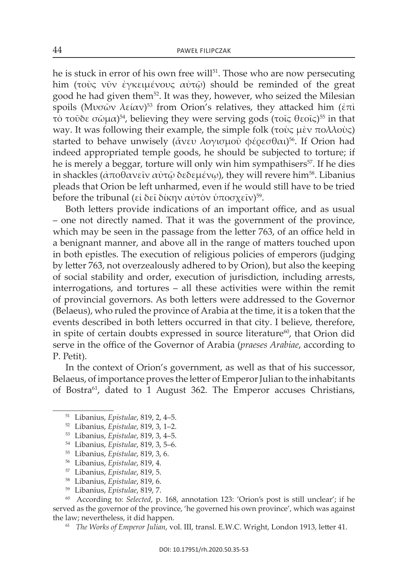he is stuck in error of his own free will<sup>51</sup>. Those who are now persecuting him (τοὺς νῦν ἐγκειμένους αὐτῷ) should be reminded of the great good he had given them52. it was they, however, who seized the Milesian spoils (Μυσῶν λείαν)<sup>53</sup> from Orion's relatives, they attacked him (ἐπὶ τὸ τοῦδε σῶμα)<sup>54</sup>, believing they were serving gods (τοῖς θεοῖς)<sup>55</sup> in that way. It was following their example, the simple folk (τοὺς μὲν πολλοὺς) started to behave unwisely (άνευ λογισμοῦ φέρεσθαι)<sup>56</sup>. If Orion had indeed appropriated temple goods, he should be subjected to torture; if he is merely a beggar, torture will only win him sympathisers<sup>57</sup>. If he dies in shackles ( $\alpha \pi \circ \theta \alpha$ νεῖν αὐτῷ δεδεμένῳ), they will revere him<sup>58</sup>. Libanius pleads that Orion be left unharmed, even if he would still have to be tried before the tribunal (εἰ δεῖ δίκην αὐτὸν ὑποσχεῖν)<sup>59</sup>.

Both letters provide indications of an important office, and as usual – one not directly named. that it was the government of the province, which may be seen in the passage from the letter 763, of an office held in a benignant manner, and above all in the range of matters touched upon in both epistles . The execution of religious policies of emperors (judging by letter 763, not overzealously adhered to by Orion), but also the keeping of social stability and order, execution of jurisdiction, including arrests, interrogations, and tortures – all these activities were within the remit of provincial governors. as both letters were addressed to the Governor (Belaeus), who ruled the province of Arabia at the time, it is a token that the events described in both letters occurred in that city. i believe, therefore, in spite of certain doubts expressed in source literature<sup>60</sup>, that Orion did serve in the office of the Governor of Arabia (*praeses Arabiae*, according to P. Petit).

In the context of Orion's government, as well as that of his successor, Belaeus, of importance proves the letter of Emperor Julian to the inhabitants of Bostra<sup>61</sup>, dated to 1 August 362. The Emperor accuses Christians,

- <sup>51</sup> libanius, *Epistulae*, 819, 2, 4–5.
- <sup>52</sup> libanius, *Epistulae*, 819, 3, 1–2.
- <sup>53</sup> libanius, *Epistulae*, 819, 3, 4–5.
- <sup>54</sup> libanius, *Epistulae*, 819, 3, 5–6.
- <sup>55</sup> libanius, *Epistulae*, 819, 3, 6.
- <sup>56</sup> libanius, *Epistulae*, 819, 4.
- <sup>57</sup> libanius, *Epistulae*, 819, 5.
- <sup>58</sup> libanius, *Epistulae*, 819, 6.
- <sup>59</sup> libanius, *Epistulae*, 819, 7.

<sup>60</sup> According to: *Selected*, p. 168, annotation 123: 'Orion's post is still unclear'; if he served as the governor of the province, 'he governed his own province', which was against the law; nevertheless, it did happen.

<sup>61</sup> *The Works of Emperor Julian, vol. III, transl. E.W.C. Wright, London 1913, letter 41.*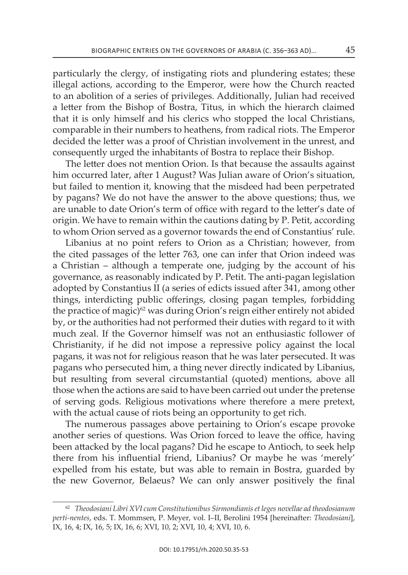particularly the clergy, of instigating riots and plundering estates; these illegal actions, according to the Emperor, were how the Church reacted to an abolition of a series of privileges. Additionally, Julian had received a letter from the Bishop of Bostra, Titus, in which the hierarch claimed that it is only himself and his clerics who stopped the local christians, comparable in their numbers to heathens, from radical riots. The Emperor decided the letter was a proof of christian involvement in the unrest, and consequently urged the inhabitants of Bostra to replace their Bishop.

The letter does not mention Orion. Is that because the assaults against him occurred later, after 1 August? Was Julian aware of Orion's situation, but failed to mention it, knowing that the misdeed had been perpetrated by pagans? we do not have the answer to the above questions; thus, we are unable to date Orion's term of office with regard to the letter's date of origin. we have to remain within the cautions dating by P. Petit, according to whom Orion served as a governor towards the end of Constantius' rule.

Libanius at no point refers to Orion as a Christian; however, from the cited passages of the letter 763, one can infer that Orion indeed was a christian – although a temperate one, judging by the account of his governance, as reasonably indicated by P. Petit. the anti-pagan legislation adopted by Constantius II (a series of edicts issued after 341, among other things, interdicting public offerings, closing pagan temples, forbidding the practice of magic)<sup>62</sup> was during Orion's reign either entirely not abided by, or the authorities had not performed their duties with regard to it with much zeal . if the Governor himself was not an enthusiastic follower of christianity, if he did not impose a repressive policy against the local pagans, it was not for religious reason that he was later persecuted. it was pagans who persecuted him, a thing never directly indicated by libanius, but resulting from several circumstantial (quoted) mentions, above all those when the actions are said to have been carried out under the pretense of serving gods. Religious motivations where therefore a mere pretext, with the actual cause of riots being an opportunity to get rich.

The numerous passages above pertaining to Orion's escape provoke another series of questions. Was Orion forced to leave the office, having been attacked by the local pagans? Did he escape to Antioch, to seek help there from his influential friend, Libanius? Or maybe he was 'merely' expelled from his estate, but was able to remain in Bostra, guarded by the new Governor, Belaeus? we can only answer positively the final

<sup>62</sup> *Theodosiani Libri XVI cum Constitutionibus Sirmondianis et leges novellae ad theodosianum perti-nentes*, eds. t. Mommsen, P. Meyer, vol. i–ii, Berolini 1954 [hereinafter: *Theodosiani*], iX, 16, 4; iX, 16, 5; iX, 16, 6; Xvi, 10, 2; Xvi, 10, 4; Xvi, 10, 6.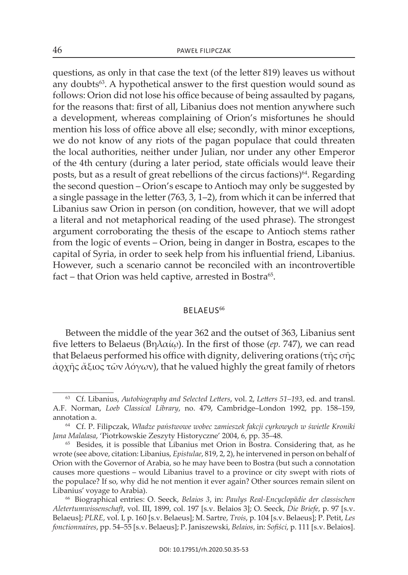questions, as only in that case the text (of the letter 819) leaves us without any doubts<sup>63</sup>. A hypothetical answer to the first question would sound as follows: Orion did not lose his office because of being assaulted by pagans, for the reasons that: first of all, libanius does not mention anywhere such a development, whereas complaining of Orion's misfortunes he should mention his loss of office above all else; secondly, with minor exceptions, we do not know of any riots of the pagan populace that could threaten the local authorities, neither under Julian, nor under any other Emperor of the 4th century (during a later period, state officials would leave their posts, but as a result of great rebellions of the circus factions) $64$ . Regarding the second question – Orion's escape to Antioch may only be suggested by a single passage in the letter (763, 3, 1–2), from which it can be inferred that Libanius saw Orion in person (on condition, however, that we will adopt a literal and not metaphorical reading of the used phrase) . The strongest argument corroborating the thesis of the escape to Antioch stems rather from the logic of events - Orion, being in danger in Bostra, escapes to the capital of syria, in order to seek help from his influential friend, libanius. However, such a scenario cannot be reconciled with an incontrovertible fact – that Orion was held captive, arrested in Bostra<sup>65</sup>.

### BFLAFUS<sup>66</sup>

Between the middle of the year 362 and the outset of 363, libanius sent five letters to Belaeus (Βηλαίῳ). in the first of those (*ep.* 747), we can read that Belaeus performed his office with dignity, delivering orations (τῆς σῆς ἀρχῆς ἄξιος τῶν λόγων), that he valued highly the great family of rhetors

<sup>&</sup>lt;sup>63</sup> Cf. Libanius, *Autobiography and Selected Letters*, vol. 2, *Letters 51–193*, ed. and transl. a.F. norman, *Loeb Classical Library*, no. 479, cambridge–london 1992, pp. 158–159, annotation a.

<sup>&</sup>lt;sup>64</sup> Cf. P. Filipczak, Władze państwowe wobec zamieszek fakcji cyrkowych w świetle Kroniki *Jana Malalasa*, 'Piotrkowskie zeszyty Historyczne' 2004, 6, pp. 35–48.

 $65$  Besides, it is possible that Libanius met Orion in Bostra. Considering that, as he wrote (see above, citation: libanius, *Epistulae*, 819, 2, 2), he intervened in person on behalf of Orion with the Governor of Arabia, so he may have been to Bostra (but such a connotation causes more questions – would libanius travel to a province or city swept with riots of the populace? If so, why did he not mention it ever again? Other sources remain silent on Libanius' voyage to Arabia).

<sup>66</sup> Biographical entries: o. seeck, *Belaios 3*, in: *Paulys Real-Encyclopädie der classischen Aletertumwissenschaft*, vol. iii, 1899, col. 197 [s.v. Belaios 3]; o. seeck, *Die Briefe*, p. 97 [s.v. Belaeus]; *PLRE*, vol. i, p. 160 [s.v. Belaeus]; M. sartre, *Trois*, p. 104 [s.v. Belaeus]; P. Petit, *Les fonctionnaires*, pp. 54–55 [s.v. Belaeus]; P. janiszewski, *Belaios*, in: *Sofiści*, p. 111 [s.v. Belaios].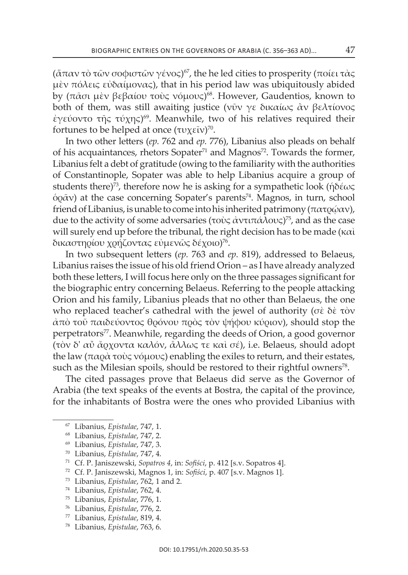(ἄπαν τὸ τῶν σοφιστῶν γένος)<sup>67</sup>, the he led cities to prosperity (ποίει τὰς μὲν πόλεις εὐδαίμονας), that in his period law was ubiquitously abided by (πᾶσι μὲν βεβαίου τοὺς νόμους)<sup>68</sup>. However, Gaudentios, known to both of them, was still awaiting justice (νῦν γε δικαίως ἂν βελτίονος έγεύοντο τῆς τύχης)<sup>69</sup>. Meanwhile, two of his relatives required their fortunes to be helped at once  $(\tau v \chi \epsilon \tilde{\iota} v)^{70}$ .

in two other letters (*ep.* 762 and *ep.* 776), libanius also pleads on behalf of his acquaintances, rhetors Sopater $71$  and Magnos $72$ . Towards the former, libanius felt a debt of gratitude (owing to the familiarity with the authorities of constantinople, sopater was able to help libanius acquire a group of students there)<sup>73</sup>, therefore now he is asking for a sympathetic look (ή $\delta \epsilon \omega \varsigma$ ) όραν) at the case concerning Sopater's parents<sup>74</sup>. Magnos, in turn, school friend of Libanius, is unable to come into his inherited patrimony (πατρώαν), due to the activity of some adversaries (τοὺς ἀντιπάλους)<sup>75</sup>, and as the case will surely end up before the tribunal, the right decision has to be made (καὶ δικαστηρίου χρήζοντας εὐμενῶς δέχοιο)<sup>76</sup>.

in two subsequent letters (*ep.* 763 and *ep.* 819), addressed to Belaeus, Libanius raises the issue of his old friend Orion – as I have already analyzed both these letters, i will focus here only on the three passages significant for the biographic entry concerning Belaeus. Referring to the people attacking Orion and his family, Libanius pleads that no other than Belaeus, the one who replaced teacher's cathedral with the jewel of authority (σὲ δὲ τὸν ἀπὸ τοῦ παιδεύοντος θρόνου πρὸς τὸν ψήφου κύριον), should stop the perpetrators<sup>77</sup>. Meanwhile, regarding the deeds of Orion, a good governor (τὸν δ' αὖ ἄρχοντα καλόν, ἄλλως τε καὶ σέ), i.e. Belaeus, should adopt the law (παρὰ τοὺς νόμους) enabling the exiles to return, and their estates, such as the Milesian spoils, should be restored to their rightful owners<sup>78</sup>.

The cited passages prove that Belaeus did serve as the Governor of arabia (the text speaks of the events at Bostra, the capital of the province, for the inhabitants of Bostra were the ones who provided libanius with

<sup>67</sup> libanius, *Epistulae*, 747, 1.

<sup>68</sup> libanius, *Epistulae*, 747, 2.

<sup>69</sup> libanius, *Epistulae*, 747, 3.

<sup>70</sup> libanius, *Epistulae*, 747, 4.

<sup>71</sup> cf. P. janiszewski, *Sopatros 4*, in: *Sofiści*, p. 412 [s.v. sopatros 4].

<sup>72</sup> cf. P. janiszewski, Magnos 1, in: *Sofiści*, p. 407 [s.v. Magnos 1].

<sup>73</sup> libanius, *Epistulae*, 762, 1 and 2.

<sup>74</sup> libanius, *Epistulae*, 762, 4.

<sup>75</sup> libanius, *Epistulae*, 776, 1.

<sup>76</sup> libanius, *Epistulae*, 776, 2.

<sup>77</sup> libanius, *Epistulae*, 819, 4.

<sup>78</sup> libanius, *Epistulae*, 763, 6.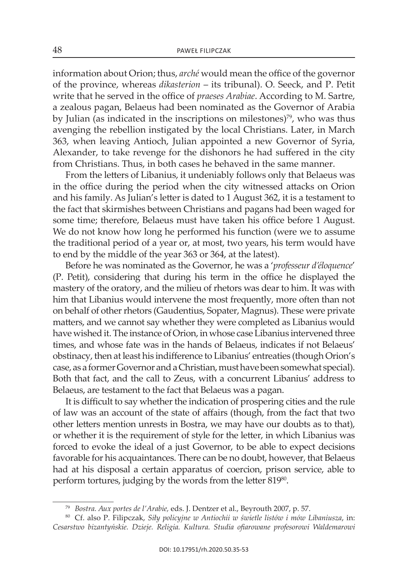information about Orion; thus, *arché* would mean the office of the governor of the province, whereas *dikasterion* – its tribunal). o. seeck, and P. Petit write that he served in the office of *praeses Arabiae*. According to M. Sartre, a zealous pagan, Belaeus had been nominated as the Governor of Arabia by Julian (as indicated in the inscriptions on milestones)<sup>79</sup>, who was thus avenging the rebellion instigated by the local christians. later, in March 363, when leaving Antioch, Julian appointed a new Governor of Syria, alexander, to take revenge for the dishonors he had suffered in the city from Christians. Thus, in both cases he behaved in the same manner.

From the letters of Libanius, it undeniably follows only that Belaeus was in the office during the period when the city witnessed attacks on Orion and his family. As Julian's letter is dated to 1 August 362, it is a testament to the fact that skirmishes between christians and pagans had been waged for some time; therefore, Belaeus must have taken his office before 1 August. We do not know how long he performed his function (were we to assume the traditional period of a year or, at most, two years, his term would have to end by the middle of the year 363 or 364, at the latest).

Before he was nominated as the Governor, he was a '*professeur d'éloquence*' (P. Petit), considering that during his term in the office he displayed the mastery of the oratory, and the milieu of rhetors was dear to him. It was with him that libanius would intervene the most frequently, more often than not on behalf of other rhetors (Gaudentius, sopater, Magnus). these were private matters, and we cannot say whether they were completed as libanius would have wished it. The instance of Orion, in whose case Libanius intervened three times, and whose fate was in the hands of Belaeus, indicates if not Belaeus' obstinacy, then at least his indifference to Libanius' entreaties (though Orion's case, as a former Governor and a christian, must have been somewhat special). Both that fact, and the call to zeus, with a concurrent libanius' address to Belaeus, are testament to the fact that Belaeus was a pagan.

It is difficult to say whether the indication of prospering cities and the rule of law was an account of the state of affairs (though, from the fact that two other letters mention unrests in Bostra, we may have our doubts as to that), or whether it is the requirement of style for the letter, in which libanius was forced to evoke the ideal of a just Governor, to be able to expect decisions favorable for his acquaintances. There can be no doubt, however, that Belaeus had at his disposal a certain apparatus of coercion, prison service, able to perform tortures, judging by the words from the letter 819<sup>80</sup>.

<sup>79</sup> *Bostra. Aux portes de l'Arabie,* eds. j. Dentzer et al., Beyrouth 2007, p. 57.

<sup>80</sup> cf. also P. Filipczak, *Siły policyjne w Antiochii w świetle listów i mów Libaniusza*, in: *Cesarstwo bizantyńskie. Dzieje. Religia. Kultura. Studia ofiarowane profesorowi Waldemarowi*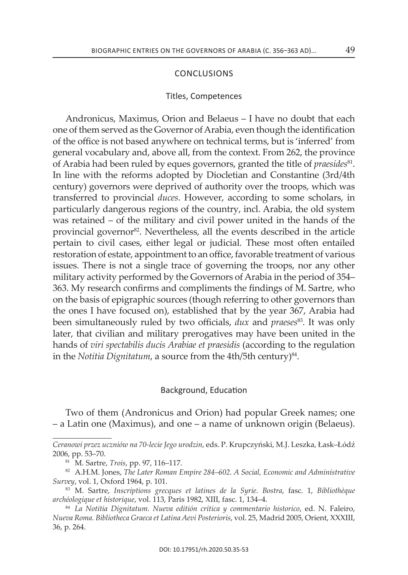### conclUsions

### Titles, Competences

Andronicus, Maximus, Orion and Belaeus – I have no doubt that each one of them served as the Governor of arabia, even though the identification of the office is not based anywhere on technical terms, but is 'inferred' from general vocabulary and, above all, from the context. From 262, the province of Arabia had been ruled by eques governors, granted the title of *praesides*<sup>81</sup>. in line with the reforms adopted by Diocletian and constantine (3rd/4th century) governors were deprived of authority over the troops, which was transferred to provincial *duces*. However, according to some scholars, in particularly dangerous regions of the country, incl. Arabia, the old system was retained – of the military and civil power united in the hands of the provincial governor<sup>82</sup>. Nevertheless, all the events described in the article pertain to civil cases, either legal or judicial. These most often entailed restoration of estate, appointment to an office, favorable treatment of various issues. There is not a single trace of governing the troops, nor any other military activity performed by the Governors of Arabia in the period of 354– 363. My research confirms and compliments the findings of M. sartre, who on the basis of epigraphic sources (though referring to other governors than the ones i have focused on), established that by the year 367, arabia had been simultaneously ruled by two officials, *dux* and *praeses*<sup>83</sup>*.* it was only later, that civilian and military prerogatives may have been united in the hands of *viri spectabilis ducis Arabiae et praesidis* (according to the regulation in the *Notitia Dignitatum*, a source from the 4th/5th century)<sup>84</sup>.

#### Background, Education

Two of them (Andronicus and Orion) had popular Greek names; one – a latin one (Maximus), and one – a name of unknown origin (Belaeus).

*Ceranowi przez uczniów na 70-lecie Jego urodzin*, eds. P. krupczyński, M.j. leszka, łask–łódź 2006, pp. 53–70.

<sup>81</sup> M. sartre, *Trois*, pp. 97, 116–117.

<sup>82</sup> a.H.M. jones, *The Later Roman Empire 284–602. A Social, Economic and Administrative Survey*, vol. 1, oxford 1964, p. 101.

<sup>83</sup> M. sartre, *Inscriptions grecques et latines de la Syrie. Bostra*, fasc. 1, *Bibliothèque archéologique et historique*, vol. 113, Paris 1982, Xiii, fasc. 1, 134–4.

<sup>&</sup>lt;sup>84</sup> La Notitia Dignitatum. Nueva editión crítica y commentario historico, ed. N. Faleiro, *Nueva Roma. Bibliotheca Graeca et Latina Aevi Posterioris*, vol. 25, Madrid 2005, orient, XXXiii, 36, p. 264.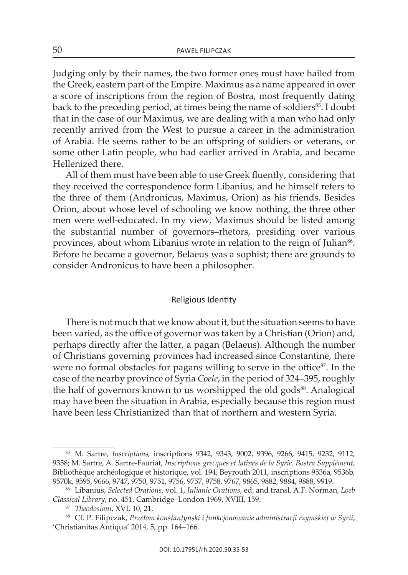judging only by their names, the two former ones must have hailed from the Greek, eastern part of the Empire. Maximus as a name appeared in over a score of inscriptions from the region of Bostra, most frequently dating back to the preceding period, at times being the name of soldiers<sup>85</sup>. I doubt that in the case of our Maximus, we are dealing with a man who had only recently arrived from the West to pursue a career in the administration of arabia. He seems rather to be an offspring of soldiers or veterans, or some other Latin people, who had earlier arrived in Arabia, and became Hellenized there.

all of them must have been able to use Greek fluently, considering that they received the correspondence form libanius, and he himself refers to the three of them (Andronicus, Maximus, Orion) as his friends. Besides Orion, about whose level of schooling we know nothing, the three other men were well-educated. in my view, Maximus should be listed among the substantial number of governors–rhetors, presiding over various provinces, about whom Libanius wrote in relation to the reign of Julian<sup>86</sup>. Before he became a governor, Belaeus was a sophist; there are grounds to consider Andronicus to have been a philosopher .

#### Religious Identity

There is not much that we know about it, but the situation seems to have been varied, as the office of governor was taken by a Christian (Orion) and, perhaps directly after the latter, a pagan (Belaeus). although the number of christians governing provinces had increased since constantine, there were no formal obstacles for pagans willing to serve in the office<sup>87</sup>. In the case of the nearby province of Syria *Coele*, in the period of 324–395, roughly the half of governors known to us worshipped the old gods<sup>88</sup>. Analogical may have been the situation in Arabia, especially because this region must have been less Christianized than that of northern and western Syria.

<sup>85</sup> M. sartre, *Inscriptions,* inscriptions 9342, 9343, 9002, 9396, 9266, 9415, 9232, 9112, 9358; M. sartre, a. sartre-Fauriat, *Inscriptions grecques et latines de la Syrie. Bostra Supplément*, Bibliothèque archéologique et historique, vol. 194, Beyrouth 2011, inscriptions 9536a, 9536b, 9570k, 9595, 9666, 9747, 9750, 9751, 9756, 9757, 9758, 9767, 9865, 9882, 9884, 9888, 9919.

<sup>86</sup> libanius, *Selected Orations*, vol. 1, *Julianic Orations*, ed. and transl. a.F. norman, *Loeb Classical Library*, no. 451, cambridge–london 1969, Xviii, 159.

<sup>87</sup> *Theodosiani*, Xvi, 10, 21.

<sup>88</sup> cf. P. Filipczak, *Przełom konstantyński i funkcjonowanie administracji rzymskiej w Syrii*, 'christianitas antiqua' 2014, 5, pp. 164–166.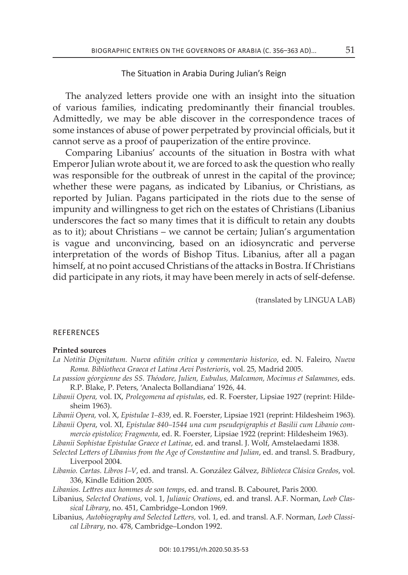# The Situation in Arabia During Julian's Reign

The analyzed letters provide one with an insight into the situation of various families, indicating predominantly their financial troubles. admittedly, we may be able discover in the correspondence traces of some instances of abuse of power perpetrated by provincial officials, but it cannot serve as a proof of pauperization of the entire province .

comparing libanius' accounts of the situation in Bostra with what Emperor Julian wrote about it, we are forced to ask the question who really was responsible for the outbreak of unrest in the capital of the province; whether these were pagans, as indicated by libanius, or christians, as reported by Julian. Pagans participated in the riots due to the sense of impunity and willingness to get rich on the estates of Christians (Libanius underscores the fact so many times that it is difficult to retain any doubts as to it); about christians – we cannot be certain; julian's argumentation is vague and unconvincing, based on an idiosyncratic and perverse interpretation of the words of Bishop Titus. Libanius, after all a pagan himself, at no point accused Christians of the attacks in Bostra. If Christians did participate in any riots, it may have been merely in acts of self-defense.

(translated by linGuA lAB)

### **REFERENCES**

#### **Printed sources**

- *La Notitia Dignitatum. Nueva editión crítica y commentario historico*, ed. n. Faleiro, *Nueva Roma. Bibliotheca Graeca et Latina Aevi Posterioris*, vol. 25, Madrid 2005.
- *La passion géorgienne des SS. Théodore, Julien, Eubulus, Malcamon, Mocimus et Salamanes*, eds. R.P. Blake, P. Peters, 'Analecta Bollandiana' 1926, 44.
- *Libanii Opera,* vol. iX, *Prolegomena ad epistulas*, ed. R. Foerster, lipsiae 1927 (reprint: Hildesheim 1963) .
- *Libanii Opera,* vol. X, *Epistulae 1–839*, ed. R. Foerster, lipsiae 1921 (reprint: Hildesheim 1963).

*Libanii Opera*, vol. Xi, *Epistulae 840–1544 una cum pseudepigraphis et Basilii cum Libanio commercio epistolico; Fragmenta*, ed. R. Foerster, lipsiae 1922 (reprint: Hildesheim 1963).

*Libanii Sophistae Epistulae Graece et Latinae*, ed. and transl. j. wolf, amstelaedami 1838.

- *Selected Letters of Libanius from the Age of Constantine and Julian*, ed. and transl. s. Bradbury, Liverpool 2004.
- *Libanio. Cartas. Libros I–V*, ed. and transl. a. González Gálvez, *Biblioteca Clásica Gredos*, vol. 336, kindle edition 2005.

*Libanios. Lettres aux hommes de son temps*, ed. and transl. B. cabouret, Paris 2000.

- libanius, *Selected Orations*, vol. 1, *Julianic Orations*, ed. and transl. a.F. norman, *Loeb Classical Library*, no. 451, cambridge–london 1969.
- libanius, *Autobiography and Selected Letters,* vol. 1, ed. and transl. a.F. norman, *Loeb Classical Library*, no. 478, cambridge–london 1992.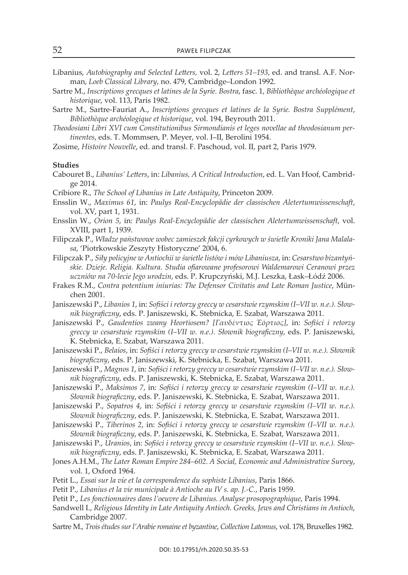- libanius, *Autobiography and Selected Letters,* vol. 2, *Letters 51–193*, ed. and transl. a.F. norman, *Loeb Classical Library*, no. 479, cambridge–london 1992.
- sartre M., *Inscriptions grecques et latines de la Syrie. Bostra*, fasc. 1, *Bibliothèque archéologique et historique*, vol. 113, Paris 1982.
- sartre M., sartre-Fauriat a., *Inscriptions grecques et latines de la Syrie. Bostra Supplément*, *Bibliothèque archéologique et historique*, vol. 194, Beyrouth 2011.
- *Theodosiani Libri XVI cum Constitutionibus Sirmondianis et leges novellae ad theodosianum per*tinentes, eds. T. Mommsen, P. Meyer, vol. I-II, Berolini 1954.
- zosime, *Histoire Nouvelle*, ed. and transl. F. Paschoud, vol. ii, part 2, Paris 1979.

#### **studies**

- cabouret B., *Libanius' Letters*, in: *Libanius, A Critical Introduction*, ed. l. van Hoof, cambridge 2014.
- cribiore R ., *The School of Libanius in Late Antiquity*, Princeton 2009.
- Ensslin W ., *Maximus 61*, in: *Paulys Real-Encyclopädie der classischen Aletertumwissenschaft*, vol. Xv, part 1, 1931.
- ensslin w., *Orion 5*, in: *Paulys Real-Encyclopädie der classischen Aletertumwissenschaft*, vol. XVIII, part 1, 1939.
- Filipczak P., *Władze państwowe wobec zamieszek fakcji cyrkowych w świetle Kroniki Jana Malalasa*, 'Piotrkowskie zeszyty Historyczne' 2004, 6.
- Filipczak P., *Siły policyjne w Antiochii w świetle listów i mów Libaniusza*, in: *Cesarstwo bizantyńskie. Dzieje. Religia. Kultura. Studia ofiarowane profesorowi Waldemarowi Ceranowi przez uczniów na 70-lecie Jego urodzin*, eds. P. krupczyński, M.j. leszka, łask–łódź 2006.
- Frakes R.M., *Contra potentium iniurias: The Defensor Civitatis and Late Roman Justice*, München 2001.
- janiszewski P., *Libanios 1*, in: *Sofiści i retorzy greccy w cesarstwie rzymskim (I–VII w. n.e.). Słownik biograficzny*, eds. P. janiszewski, k. stebnicka, e. szabat, warszawa 2011.
- janiszewski P., *Gaudentios zwany Heortiosem? [Γαυδέντιος Ἑόρτιος]*, in: *Sofiści i retorzy greccy w cesarstwie rzymskim (I–VII w. n.e.). Słownik biograficzny*, eds. P. janiszewski, K. Stebnicka, E. Szabat, Warszawa 2011.
- janiszewski P., *Belaios*, in: *Sofiści i retorzy greccy w cesarstwie rzymskim (I–VII w. n.e.). Słownik biograficzny*, eds. P. janiszewski, k. stebnicka, e. szabat, warszawa 2011.
- janiszewski P., *Magnos 1*, in: *Sofiści i retorzy greccy w cesarstwie rzymskim (I–VII w. n.e.). Słownik biograficzny*, eds. P. janiszewski, k. stebnicka, e. szabat, warszawa 2011.
- janiszewski P., *Maksimos 7*, in: *Sofiści i retorzy greccy w cesarstwie rzymskim (I–VII w. n.e.). Słownik biograficzny*, eds. P. janiszewski, k. stebnicka, e. szabat, warszawa 2011.
- janiszewski P., *Sopatros 4*, in: *Sofiści i retorzy greccy w cesarstwie rzymskim (I–VII w. n.e.). Słownik biograficzny*, eds. P. janiszewski, k. stebnicka, e. szabat, warszawa 2011.
- janiszewski P., *Tiberinos 2*, in: *Sofiści i retorzy greccy w cesarstwie rzymskim (I–VII w. n.e.). Słownik biograficzny*, eds. P. janiszewski, k. stebnicka, e. szabat, warszawa 2011.
- janiszewski P., *Uranios*, in: *Sofiści i retorzy greccy w cesarstwie rzymskim (I–VII w. n.e.). Słownik biograficzny*, eds. P. janiszewski, k. stebnicka, e. szabat, warszawa 2011.
- jones a.H.M., *The Later Roman Empire 284–602. A Social, Economic and Administrative Survey*, vol. 1, oxford 1964.
- Petit l., *Essai sur la vie et la correspondence du sophiste Libanius*, Paris 1866.
- Petit P., *Libanius et la vie municipale à Antioche au IV s. ap. J.-C.*, Paris 1959.
- Petit P., *Les fonctionnaires dans l'oeuvre de Libanius. Analyse prosopographique*, Paris 1994.
- sandwell i., *Religious Identity in Late Antiquity Antioch. Greeks, Jews and Christians in Antioch*, cambridge 2007.
- sartre M., *Trois études sur l'Arabie romaine et byzantine*, *Collection Latomus*, vol. 178, Bruxelles 1982.